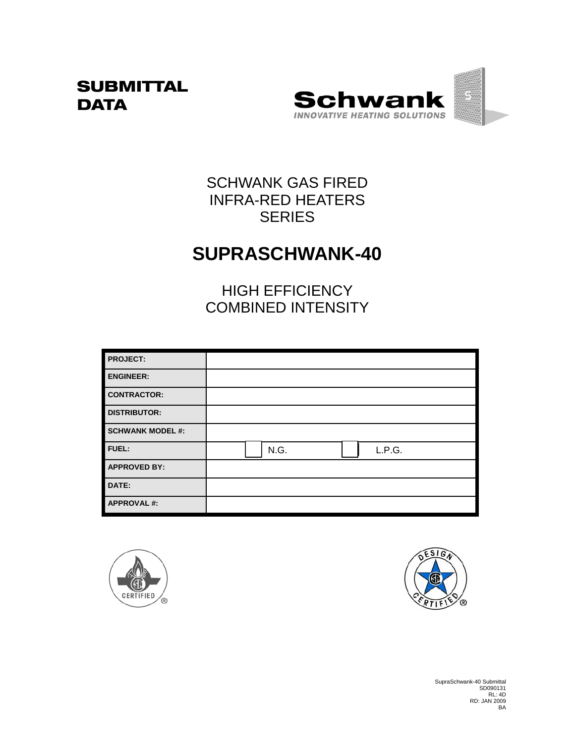## **SUBMITTAL DATA**



# SCHWANK GAS FIRED INFRA-RED HEATERS **SERIES**

# **SUPRASCHWANK-40**

HIGH EFFICIENCY COMBINED INTENSITY

| <b>PROJECT:</b>         |      |        |  |
|-------------------------|------|--------|--|
| <b>ENGINEER:</b>        |      |        |  |
| <b>CONTRACTOR:</b>      |      |        |  |
| <b>DISTRIBUTOR:</b>     |      |        |  |
| <b>SCHWANK MODEL #:</b> |      |        |  |
| FUEL:                   | N.G. | L.P.G. |  |
| <b>APPROVED BY:</b>     |      |        |  |
| DATE:                   |      |        |  |
| <b>APPROVAL#:</b>       |      |        |  |





SupraSchwank-40 Submittal SD090131 RL: 4D RD: JAN 2009 BA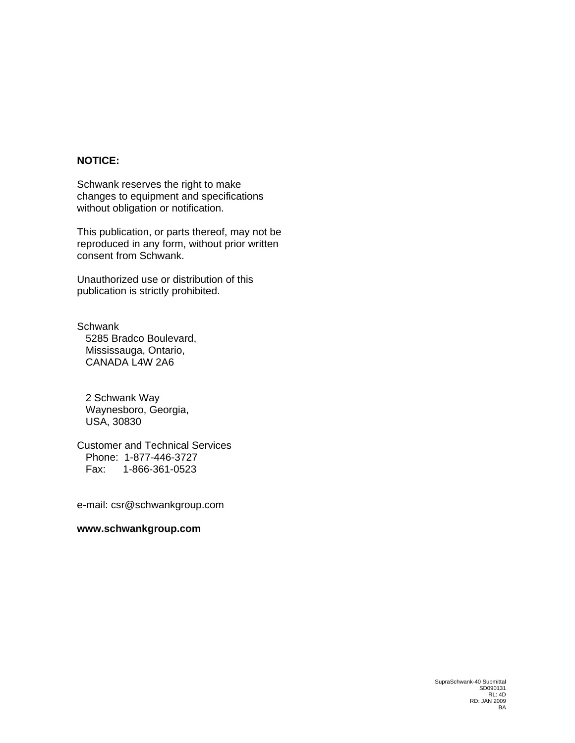### **NOTICE:**

Schwank reserves the right to make changes to equipment and specifications without obligation or notification.

This publication, or parts thereof, may not be reproduced in any form, without prior written consent from Schwank.

Unauthorized use or distribution of this publication is strictly prohibited.

**Schwank**  5285 Bradco Boulevard, Mississauga, Ontario, CANADA L4W 2A6

 2 Schwank Way Waynesboro, Georgia, USA, 30830

Customer and Technical Services Phone: 1-877-446-3727 Fax: 1-866-361-0523

e-mail: csr@schwankgroup.com

#### **www.schwankgroup.com**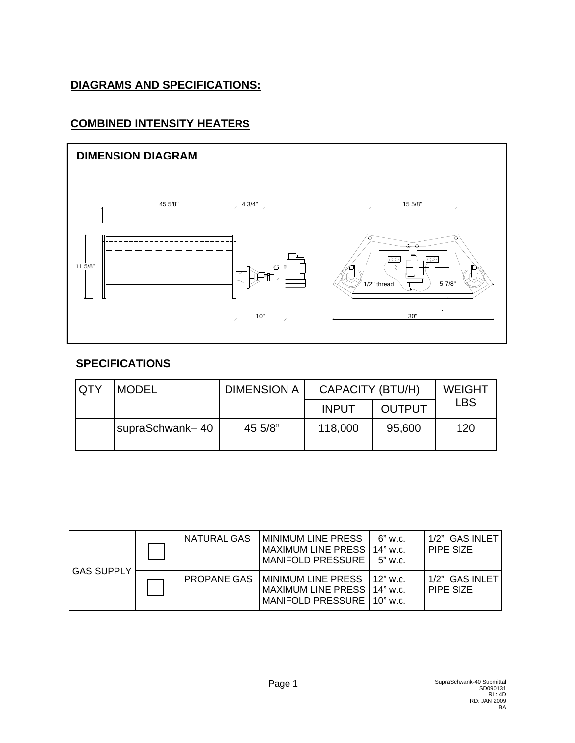### **DIAGRAMS AND SPECIFICATIONS:**

### **COMBINED INTENSITY HEATERS**



### **SPECIFICATIONS**

| QTY | <b>MODEL</b>    | <b>DIMENSION A</b> |              | CAPACITY (BTU/H) |     |  |
|-----|-----------------|--------------------|--------------|------------------|-----|--|
|     |                 |                    | <b>INPUT</b> | <b>OUTPUT</b>    | LBS |  |
|     | supraSchwank-40 | 45 5/8"            | 118,000      | 95,600           | 120 |  |

| <b>GAS SUPPLY</b> | NATURAL GAS | <b>IMINIMUM LINE PRESS</b><br>MAXIMUM LINE PRESS   14" w.c.<br>MANIFOLD PRESSURE   5" w.c.      | 6" w.c.    | 1/2" GAS INLET<br>PIPE SIZE |
|-------------------|-------------|-------------------------------------------------------------------------------------------------|------------|-----------------------------|
|                   |             | PROPANE GAS   MINIMUM LINE PRESS<br>MAXIMUM LINE PRESS   14" w.c.<br>MANIFOLD PRESSURE 10" w.c. | $12"$ w.c. | 1/2" GAS INLET<br>PIPE SIZE |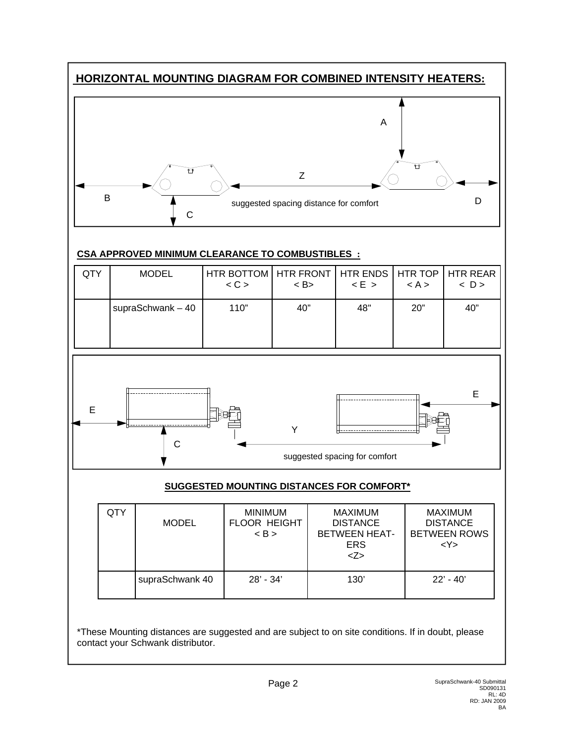### **HORIZONTAL MOUNTING DIAGRAM FOR COMBINED INTENSITY HEATERS:**



#### **CSA APPROVED MINIMUM CLEARANCE TO COMBUSTIBLES :**

| QTY | <b>MODEL</b>       | HTR BOTTOM HTR FRONT HTR ENDS HTR TOP HTR REAR<br>< C | $\langle$ B | E > | < A > | $\langle D \rangle$ |
|-----|--------------------|-------------------------------------------------------|-------------|-----|-------|---------------------|
|     | supraSchwank $-40$ | 110"                                                  | 40"         | 48" | 20"   | 40"                 |



#### **SUGGESTED MOUNTING DISTANCES FOR COMFORT\***

| QTY | <b>MODEL</b>    | <b>MINIMUM</b><br><b>FLOOR HEIGHT</b><br>$\langle B \rangle$ | <b>MAXIMUM</b><br><b>DISTANCE</b><br><b>BETWEEN HEAT-</b><br><b>ERS</b><br>Z> | <b>MAXIMUM</b><br><b>DISTANCE</b><br><b>BETWEEN ROWS</b><br><y></y> |
|-----|-----------------|--------------------------------------------------------------|-------------------------------------------------------------------------------|---------------------------------------------------------------------|
|     | supraSchwank 40 | $28' - 34'$                                                  | 130'                                                                          | $22' - 40'$                                                         |

\*These Mounting distances are suggested and are subject to on site conditions. If in doubt, please contact your Schwank distributor.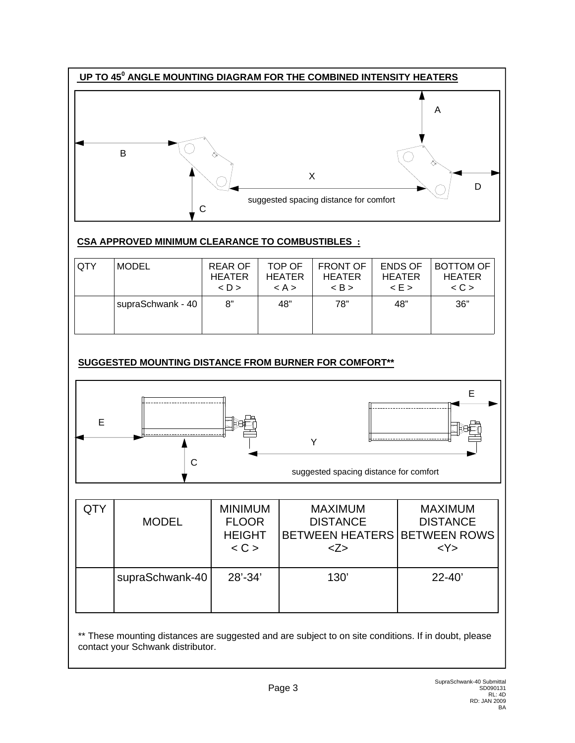

#### **CSA APPROVED MINIMUM CLEARANCE TO COMBUSTIBLES :**

| <b>QTY</b> | <b>MODEL</b>      | <b>REAR OF</b><br><b>HEATER</b><br>$\langle D \rangle$ | TOP OF<br><b>HEATER</b><br>< A > | <b>FRONT OF</b><br><b>HEATER</b><br>$\langle B \rangle$ | <b>ENDS OF</b><br><b>HEATER</b><br>E > | <b>BOTTOM OF</b><br><b>HEATER</b><br>$\langle C \rangle$ |
|------------|-------------------|--------------------------------------------------------|----------------------------------|---------------------------------------------------------|----------------------------------------|----------------------------------------------------------|
|            | supraSchwank - 40 | 8"                                                     | 48"                              | 78"                                                     | 48"                                    | 36"                                                      |

### **SUGGESTED MOUNTING DISTANCE FROM BURNER FOR COMFORT\*\***



| QTY | <b>MODEL</b>    | <b>MINIMUM</b><br><b>FLOOR</b><br><b>HEIGHT</b><br>< C | <b>MAXIMUM</b><br><b>DISTANCE</b><br>BETWEEN HEATERS BETWEEN ROWS<br>Z> | <b>MAXIMUM</b><br><b>DISTANCE</b><br><y></y> |
|-----|-----------------|--------------------------------------------------------|-------------------------------------------------------------------------|----------------------------------------------|
|     | supraSchwank-40 | 28'-34'                                                | 130'                                                                    | $22 - 40'$                                   |

\*\* These mounting distances are suggested and are subject to on site conditions. If in doubt, please contact your Schwank distributor.